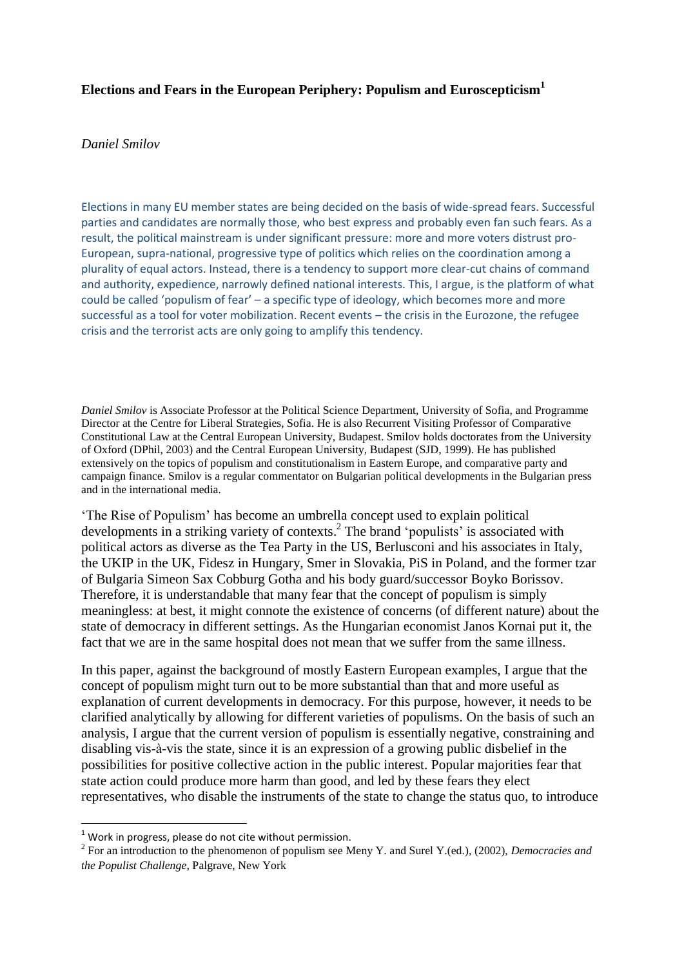### **Elections and Fears in the European Periphery: Populism and Euroscepticism<sup>1</sup>**

#### *Daniel Smilov*

Elections in many EU member states are being decided on the basis of wide-spread fears. Successful parties and candidates are normally those, who best express and probably even fan such fears. As a result, the political mainstream is under significant pressure: more and more voters distrust pro-European, supra-national, progressive type of politics which relies on the coordination among a plurality of equal actors. Instead, there is a tendency to support more clear-cut chains of command and authority, expedience, narrowly defined national interests. This, I argue, is the platform of what could be called 'populism of fear' – a specific type of ideology, which becomes more and more successful as a tool for voter mobilization. Recent events – the crisis in the Eurozone, the refugee crisis and the terrorist acts are only going to amplify this tendency.

*Daniel Smilov* is Associate Professor at the Political Science Department, University of Sofia, and Programme Director at the Centre for Liberal Strategies, Sofia. He is also Recurrent Visiting Professor of Comparative Constitutional Law at the Central European University, Budapest. Smilov holds doctorates from the University of Oxford (DPhil, 2003) and the Central European University, Budapest (SJD, 1999). He has published extensively on the topics of populism and constitutionalism in Eastern Europe, and comparative party and campaign finance. Smilov is a regular commentator on Bulgarian political developments in the Bulgarian press and in the international media.

'The Rise of Populism' has become an umbrella concept used to explain political developments in a striking variety of contexts. 2 The brand 'populists' is associated with political actors as diverse as the Tea Party in the US, Berlusconi and his associates in Italy, the UKIP in the UK, Fidesz in Hungary, Smer in Slovakia, PiS in Poland, and the former tzar of Bulgaria Simeon Sax Cobburg Gotha and his body guard/successor Boyko Borissov. Therefore, it is understandable that many fear that the concept of populism is simply meaningless: at best, it might connote the existence of concerns (of different nature) about the state of democracy in different settings. As the Hungarian economist Janos Kornai put it, the fact that we are in the same hospital does not mean that we suffer from the same illness.

In this paper, against the background of mostly Eastern European examples, I argue that the concept of populism might turn out to be more substantial than that and more useful as explanation of current developments in democracy. For this purpose, however, it needs to be clarified analytically by allowing for different varieties of populisms. On the basis of such an analysis, I argue that the current version of populism is essentially negative, constraining and disabling vis-à-vis the state, since it is an expression of a growing public disbelief in the possibilities for positive collective action in the public interest. Popular majorities fear that state action could produce more harm than good, and led by these fears they elect representatives, who disable the instruments of the state to change the status quo, to introduce

**.** 

 $1$  Work in progress, please do not cite without permission.

<sup>2</sup> For an introduction to the phenomenon of populism see Meny Y. and Surel Y.(ed.), (2002), *Democracies and the Populist Challenge*, Palgrave, New York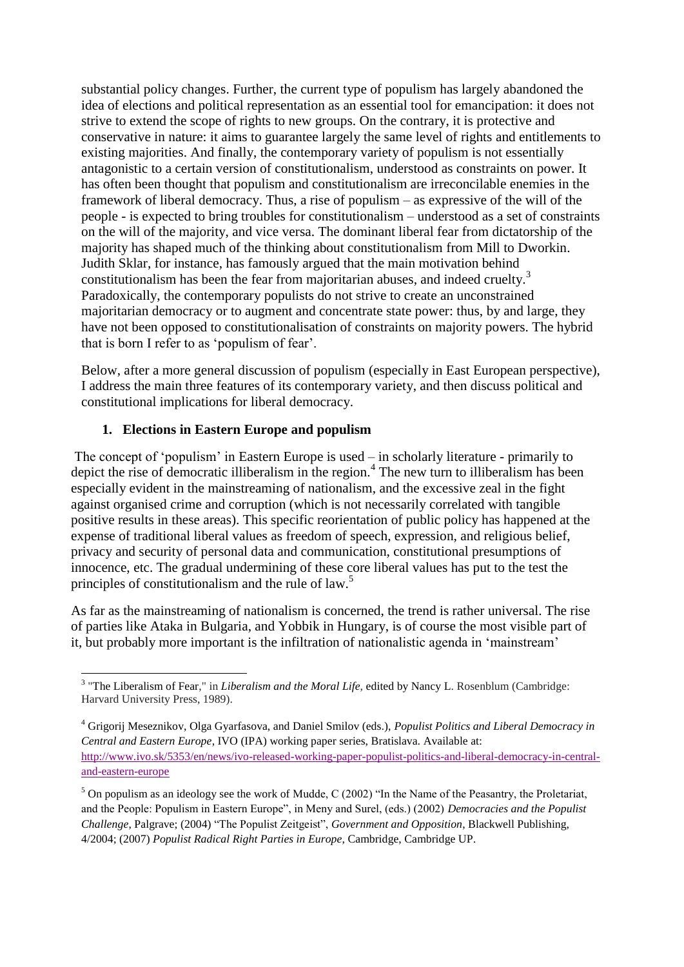substantial policy changes. Further, the current type of populism has largely abandoned the idea of elections and political representation as an essential tool for emancipation: it does not strive to extend the scope of rights to new groups. On the contrary, it is protective and conservative in nature: it aims to guarantee largely the same level of rights and entitlements to existing majorities. And finally, the contemporary variety of populism is not essentially antagonistic to a certain version of constitutionalism, understood as constraints on power. It has often been thought that populism and constitutionalism are irreconcilable enemies in the framework of liberal democracy. Thus, a rise of populism – as expressive of the will of the people - is expected to bring troubles for constitutionalism – understood as a set of constraints on the will of the majority, and vice versa. The dominant liberal fear from dictatorship of the majority has shaped much of the thinking about constitutionalism from Mill to Dworkin. Judith Sklar, for instance, has famously argued that the main motivation behind constitutionalism has been the fear from majoritarian abuses, and indeed cruelty.<sup>3</sup> Paradoxically, the contemporary populists do not strive to create an unconstrained majoritarian democracy or to augment and concentrate state power: thus, by and large, they have not been opposed to constitutionalisation of constraints on majority powers. The hybrid that is born I refer to as 'populism of fear'.

Below, after a more general discussion of populism (especially in East European perspective), I address the main three features of its contemporary variety, and then discuss political and constitutional implications for liberal democracy.

# **1. Elections in Eastern Europe and populism**

The concept of 'populism' in Eastern Europe is used – in scholarly literature - primarily to depict the rise of democratic illiberalism in the region.<sup>4</sup> The new turn to illiberalism has been especially evident in the mainstreaming of nationalism, and the excessive zeal in the fight against organised crime and corruption (which is not necessarily correlated with tangible positive results in these areas). This specific reorientation of public policy has happened at the expense of traditional liberal values as freedom of speech, expression, and religious belief, privacy and security of personal data and communication, constitutional presumptions of innocence, etc. The gradual undermining of these core liberal values has put to the test the principles of constitutionalism and the rule of law.<sup>5</sup>

As far as the mainstreaming of nationalism is concerned, the trend is rather universal. The rise of parties like Ataka in Bulgaria, and Yobbik in Hungary, is of course the most visible part of it, but probably more important is the infiltration of nationalistic agenda in 'mainstream'

 3 "The Liberalism of Fear," in *Liberalism and the Moral Life*, edited by Nancy L. Rosenblum (Cambridge: Harvard University Press, 1989).

<sup>4</sup> Grigorij Meseznikov, Olga Gyarfasova, and Daniel Smilov (eds.), *Populist Politics and Liberal Democracy in Central and Eastern Europe*, IVO (IPA) working paper series, Bratislava. Available at: [http://www.ivo.sk/5353/en/news/ivo-released-working-paper-populist-politics-and-liberal-democracy-in-central](http://www.ivo.sk/5353/en/news/ivo-released-working-paper-populist-politics-and-liberal-democracy-in-central-and-eastern-europe)[and-eastern-europe](http://www.ivo.sk/5353/en/news/ivo-released-working-paper-populist-politics-and-liberal-democracy-in-central-and-eastern-europe)

<sup>&</sup>lt;sup>5</sup> On populism as an ideology see the work of Mudde, C (2002) "In the Name of the Peasantry, the Proletariat, and the People: Populism in Eastern Europe", in Meny and Surel, (eds.) (2002) *Democracies and the Populist Challenge*, Palgrave; (2004) "The Populist Zeitgeist", *Government and Opposition*, Blackwell Publishing, 4/2004; (2007) *Populist Radical Right Parties in Europe*, Cambridge, Cambridge UP.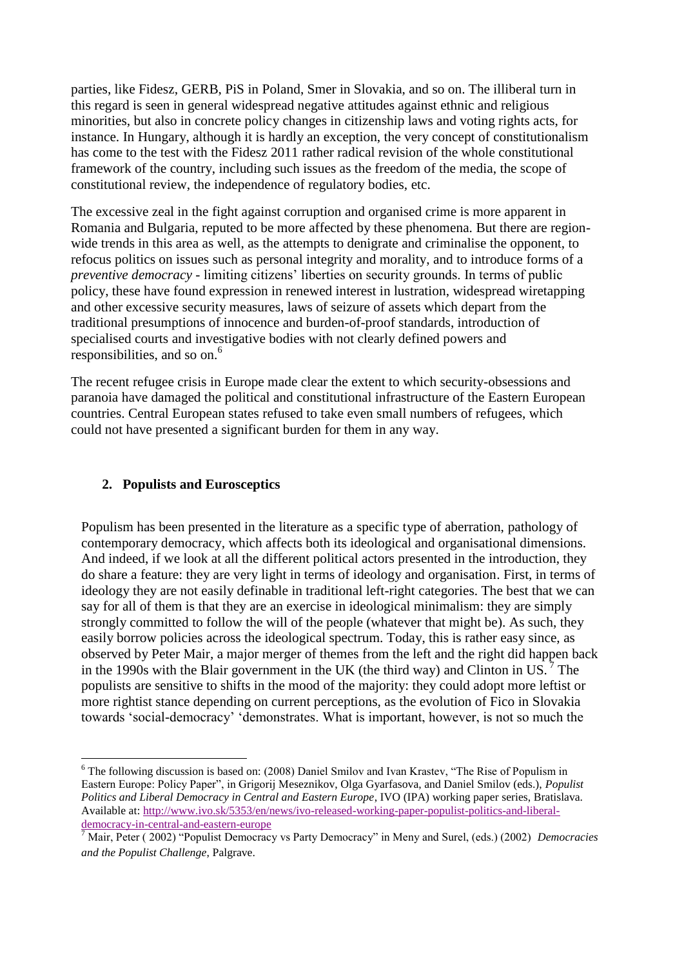parties, like Fidesz, GERB, PiS in Poland, Smer in Slovakia, and so on. The illiberal turn in this regard is seen in general widespread negative attitudes against ethnic and religious minorities, but also in concrete policy changes in citizenship laws and voting rights acts, for instance. In Hungary, although it is hardly an exception, the very concept of constitutionalism has come to the test with the Fidesz 2011 rather radical revision of the whole constitutional framework of the country, including such issues as the freedom of the media, the scope of constitutional review, the independence of regulatory bodies, etc.

The excessive zeal in the fight against corruption and organised crime is more apparent in Romania and Bulgaria, reputed to be more affected by these phenomena. But there are regionwide trends in this area as well, as the attempts to denigrate and criminalise the opponent, to refocus politics on issues such as personal integrity and morality, and to introduce forms of a *preventive democracy* - limiting citizens' liberties on security grounds. In terms of public policy, these have found expression in renewed interest in lustration, widespread wiretapping and other excessive security measures, laws of seizure of assets which depart from the traditional presumptions of innocence and burden-of-proof standards, introduction of specialised courts and investigative bodies with not clearly defined powers and responsibilities, and so on.<sup>6</sup>

The recent refugee crisis in Europe made clear the extent to which security-obsessions and paranoia have damaged the political and constitutional infrastructure of the Eastern European countries. Central European states refused to take even small numbers of refugees, which could not have presented a significant burden for them in any way.

# **2. Populists and Eurosceptics**

Populism has been presented in the literature as a specific type of aberration, pathology of contemporary democracy, which affects both its ideological and organisational dimensions. And indeed, if we look at all the different political actors presented in the introduction, they do share a feature: they are very light in terms of ideology and organisation. First, in terms of ideology they are not easily definable in traditional left-right categories. The best that we can say for all of them is that they are an exercise in ideological minimalism: they are simply strongly committed to follow the will of the people (whatever that might be). As such, they easily borrow policies across the ideological spectrum. Today, this is rather easy since, as observed by Peter Mair, a major merger of themes from the left and the right did happen back in the 1990s with the Blair government in the UK (the third way) and Clinton in US.  $\frac{7}{1}$  The populists are sensitive to shifts in the mood of the majority: they could adopt more leftist or more rightist stance depending on current perceptions, as the evolution of Fico in Slovakia towards 'social-democracy' 'demonstrates. What is important, however, is not so much the

<sup>1</sup> <sup>6</sup> The following discussion is based on: (2008) Daniel Smilov and Ivan Krastev, "The Rise of Populism in Eastern Europe: Policy Paper", in Grigorij Meseznikov, Olga Gyarfasova, and Daniel Smilov (eds.), *Populist Politics and Liberal Democracy in Central and Eastern Europe*, IVO (IPA) working paper series, Bratislava. Available at[: http://www.ivo.sk/5353/en/news/ivo-released-working-paper-populist-politics-and-liberal](http://www.ivo.sk/5353/en/news/ivo-released-working-paper-populist-politics-and-liberal-democracy-in-central-and-eastern-europe)[democracy-in-central-and-eastern-europe](http://www.ivo.sk/5353/en/news/ivo-released-working-paper-populist-politics-and-liberal-democracy-in-central-and-eastern-europe)

<sup>7</sup> Mair, Peter ( 2002) "Populist Democracy vs Party Democracy" in Meny and Surel, (eds.) (2002) *Democracies and the Populist Challenge*, Palgrave.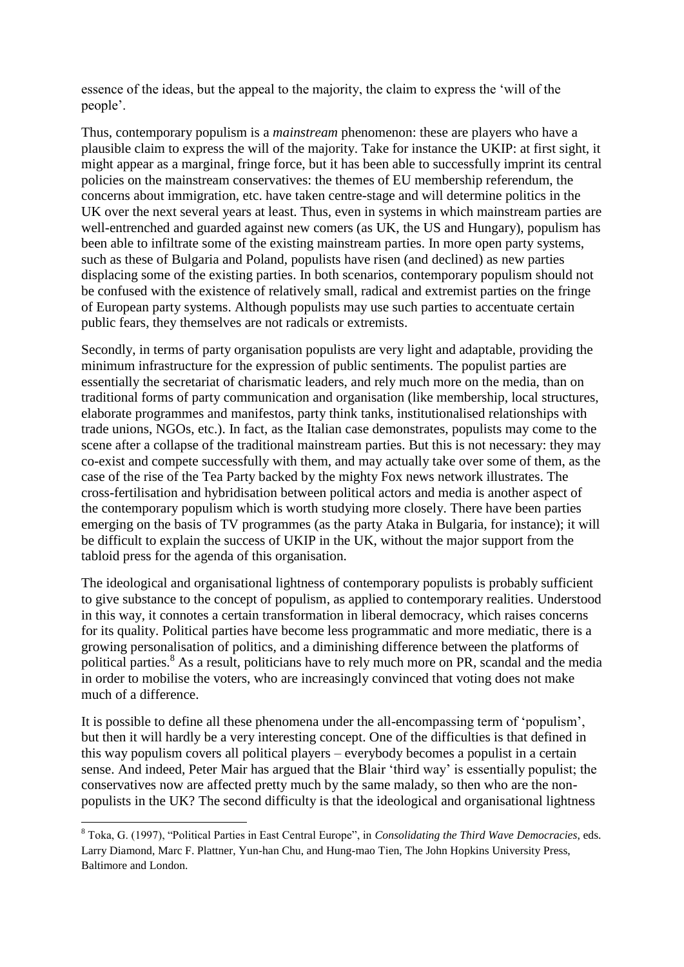essence of the ideas, but the appeal to the majority, the claim to express the 'will of the people'.

Thus, contemporary populism is a *mainstream* phenomenon: these are players who have a plausible claim to express the will of the majority. Take for instance the UKIP: at first sight, it might appear as a marginal, fringe force, but it has been able to successfully imprint its central policies on the mainstream conservatives: the themes of EU membership referendum, the concerns about immigration, etc. have taken centre-stage and will determine politics in the UK over the next several years at least. Thus, even in systems in which mainstream parties are well-entrenched and guarded against new comers (as UK, the US and Hungary), populism has been able to infiltrate some of the existing mainstream parties. In more open party systems, such as these of Bulgaria and Poland, populists have risen (and declined) as new parties displacing some of the existing parties. In both scenarios, contemporary populism should not be confused with the existence of relatively small, radical and extremist parties on the fringe of European party systems. Although populists may use such parties to accentuate certain public fears, they themselves are not radicals or extremists.

Secondly, in terms of party organisation populists are very light and adaptable, providing the minimum infrastructure for the expression of public sentiments. The populist parties are essentially the secretariat of charismatic leaders, and rely much more on the media, than on traditional forms of party communication and organisation (like membership, local structures, elaborate programmes and manifestos, party think tanks, institutionalised relationships with trade unions, NGOs, etc.). In fact, as the Italian case demonstrates, populists may come to the scene after a collapse of the traditional mainstream parties. But this is not necessary: they may co-exist and compete successfully with them, and may actually take over some of them, as the case of the rise of the Tea Party backed by the mighty Fox news network illustrates. The cross-fertilisation and hybridisation between political actors and media is another aspect of the contemporary populism which is worth studying more closely. There have been parties emerging on the basis of TV programmes (as the party Ataka in Bulgaria, for instance); it will be difficult to explain the success of UKIP in the UK, without the major support from the tabloid press for the agenda of this organisation.

The ideological and organisational lightness of contemporary populists is probably sufficient to give substance to the concept of populism, as applied to contemporary realities. Understood in this way, it connotes a certain transformation in liberal democracy, which raises concerns for its quality. Political parties have become less programmatic and more mediatic, there is a growing personalisation of politics, and a diminishing difference between the platforms of political parties.<sup>8</sup> As a result, politicians have to rely much more on PR, scandal and the media in order to mobilise the voters, who are increasingly convinced that voting does not make much of a difference.

It is possible to define all these phenomena under the all-encompassing term of 'populism', but then it will hardly be a very interesting concept. One of the difficulties is that defined in this way populism covers all political players – everybody becomes a populist in a certain sense. And indeed, Peter Mair has argued that the Blair 'third way' is essentially populist; the conservatives now are affected pretty much by the same malady, so then who are the nonpopulists in the UK? The second difficulty is that the ideological and organisational lightness

**.** 

<sup>8</sup> Toka, G. (1997), "Political Parties in East Central Europe", in *Consolidating the Third Wave Democracies*, eds. Larry Diamond, Marc F. Plattner, Yun-han Chu, and Hung-mao Tien, The John Hopkins University Press, Baltimore and London.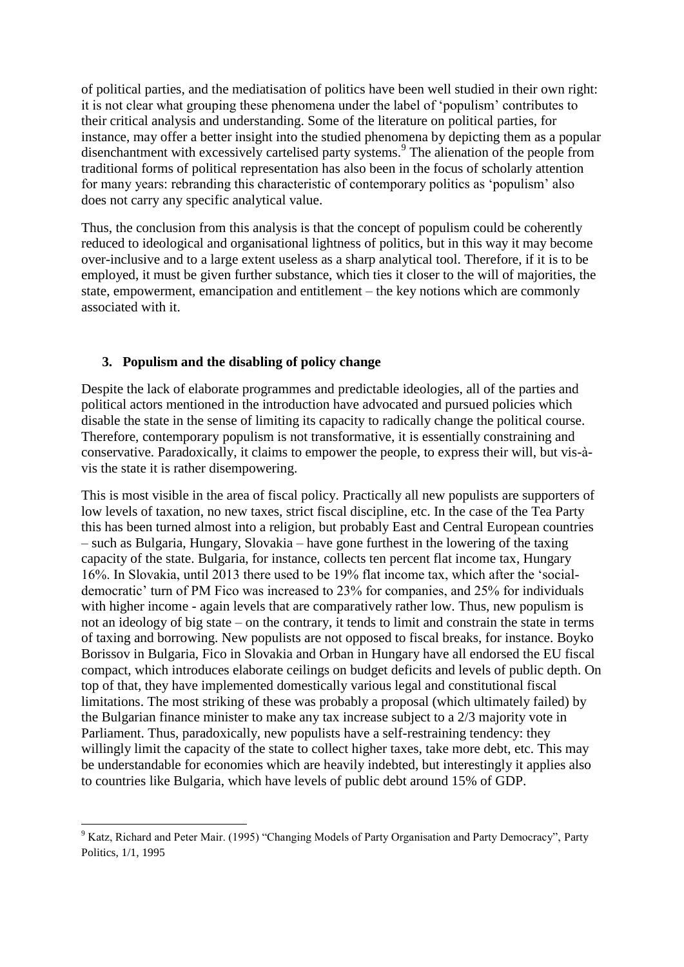of political parties, and the mediatisation of politics have been well studied in their own right: it is not clear what grouping these phenomena under the label of 'populism' contributes to their critical analysis and understanding. Some of the literature on political parties, for instance, may offer a better insight into the studied phenomena by depicting them as a popular disenchantment with excessively cartelised party systems.<sup>9</sup> The alienation of the people from traditional forms of political representation has also been in the focus of scholarly attention for many years: rebranding this characteristic of contemporary politics as 'populism' also does not carry any specific analytical value.

Thus, the conclusion from this analysis is that the concept of populism could be coherently reduced to ideological and organisational lightness of politics, but in this way it may become over-inclusive and to a large extent useless as a sharp analytical tool. Therefore, if it is to be employed, it must be given further substance, which ties it closer to the will of majorities, the state, empowerment, emancipation and entitlement – the key notions which are commonly associated with it.

# **3. Populism and the disabling of policy change**

 $\overline{a}$ 

Despite the lack of elaborate programmes and predictable ideologies, all of the parties and political actors mentioned in the introduction have advocated and pursued policies which disable the state in the sense of limiting its capacity to radically change the political course. Therefore, contemporary populism is not transformative, it is essentially constraining and conservative. Paradoxically, it claims to empower the people, to express their will, but vis-àvis the state it is rather disempowering.

This is most visible in the area of fiscal policy. Practically all new populists are supporters of low levels of taxation, no new taxes, strict fiscal discipline, etc. In the case of the Tea Party this has been turned almost into a religion, but probably East and Central European countries – such as Bulgaria, Hungary, Slovakia – have gone furthest in the lowering of the taxing capacity of the state. Bulgaria, for instance, collects ten percent flat income tax, Hungary 16%. In Slovakia, until 2013 there used to be 19% flat income tax, which after the 'socialdemocratic' turn of PM Fico was increased to 23% for companies, and 25% for individuals with higher income - again levels that are comparatively rather low. Thus, new populism is not an ideology of big state – on the contrary, it tends to limit and constrain the state in terms of taxing and borrowing. New populists are not opposed to fiscal breaks, for instance. Boyko Borissov in Bulgaria, Fico in Slovakia and Orban in Hungary have all endorsed the EU fiscal compact, which introduces elaborate ceilings on budget deficits and levels of public depth. On top of that, they have implemented domestically various legal and constitutional fiscal limitations. The most striking of these was probably a proposal (which ultimately failed) by the Bulgarian finance minister to make any tax increase subject to a 2/3 majority vote in Parliament. Thus, paradoxically, new populists have a self-restraining tendency: they willingly limit the capacity of the state to collect higher taxes, take more debt, etc. This may be understandable for economies which are heavily indebted, but interestingly it applies also to countries like Bulgaria, which have levels of public debt around 15% of GDP.

<sup>&</sup>lt;sup>9</sup> Katz, Richard and Peter Mair. (1995) "Changing Models of Party Organisation and Party Democracy", Party Politics, 1/1, 1995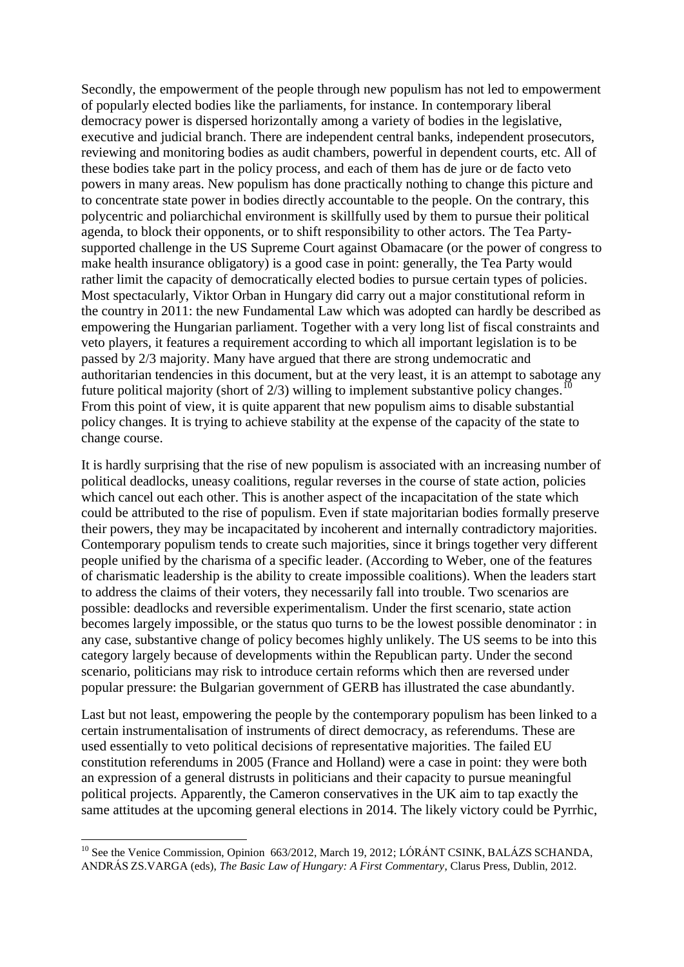Secondly, the empowerment of the people through new populism has not led to empowerment of popularly elected bodies like the parliaments, for instance. In contemporary liberal democracy power is dispersed horizontally among a variety of bodies in the legislative, executive and judicial branch. There are independent central banks, independent prosecutors, reviewing and monitoring bodies as audit chambers, powerful in dependent courts, etc. All of these bodies take part in the policy process, and each of them has de jure or de facto veto powers in many areas. New populism has done practically nothing to change this picture and to concentrate state power in bodies directly accountable to the people. On the contrary, this polycentric and poliarchichal environment is skillfully used by them to pursue their political agenda, to block their opponents, or to shift responsibility to other actors. The Tea Partysupported challenge in the US Supreme Court against Obamacare (or the power of congress to make health insurance obligatory) is a good case in point: generally, the Tea Party would rather limit the capacity of democratically elected bodies to pursue certain types of policies. Most spectacularly, Viktor Orban in Hungary did carry out a major constitutional reform in the country in 2011: the new Fundamental Law which was adopted can hardly be described as empowering the Hungarian parliament. Together with a very long list of fiscal constraints and veto players, it features a requirement according to which all important legislation is to be passed by 2/3 majority. Many have argued that there are strong undemocratic and authoritarian tendencies in this document, but at the very least, it is an attempt to sabotage any future political majority (short of  $2/3$ ) willing to implement substantive policy changes.<sup>1</sup> From this point of view, it is quite apparent that new populism aims to disable substantial policy changes. It is trying to achieve stability at the expense of the capacity of the state to change course.

It is hardly surprising that the rise of new populism is associated with an increasing number of political deadlocks, uneasy coalitions, regular reverses in the course of state action, policies which cancel out each other. This is another aspect of the incapacitation of the state which could be attributed to the rise of populism. Even if state majoritarian bodies formally preserve their powers, they may be incapacitated by incoherent and internally contradictory majorities. Contemporary populism tends to create such majorities, since it brings together very different people unified by the charisma of a specific leader. (According to Weber, one of the features of charismatic leadership is the ability to create impossible coalitions). When the leaders start to address the claims of their voters, they necessarily fall into trouble. Two scenarios are possible: deadlocks and reversible experimentalism. Under the first scenario, state action becomes largely impossible, or the status quo turns to be the lowest possible denominator : in any case, substantive change of policy becomes highly unlikely. The US seems to be into this category largely because of developments within the Republican party. Under the second scenario, politicians may risk to introduce certain reforms which then are reversed under popular pressure: the Bulgarian government of GERB has illustrated the case abundantly.

Last but not least, empowering the people by the contemporary populism has been linked to a certain instrumentalisation of instruments of direct democracy, as referendums. These are used essentially to veto political decisions of representative majorities. The failed EU constitution referendums in 2005 (France and Holland) were a case in point: they were both an expression of a general distrusts in politicians and their capacity to pursue meaningful political projects. Apparently, the Cameron conservatives in the UK aim to tap exactly the same attitudes at the upcoming general elections in 2014. The likely victory could be Pyrrhic,

1

<sup>&</sup>lt;sup>10</sup> See the Venice Commission, Opinion 663/2012, March 19, 2012; LÓRÁNT CSINK, BALÁZS SCHANDA, ANDRÁS ZS.VARGA (eds), *The Basic Law of Hungary: A First Commentary*, Clarus Press, Dublin, 2012.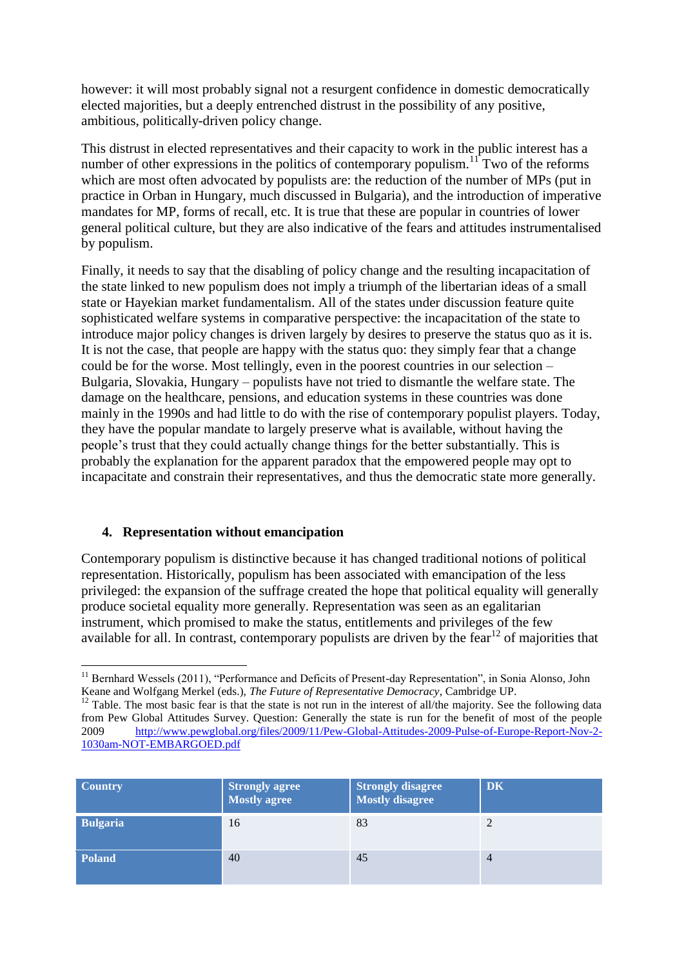however: it will most probably signal not a resurgent confidence in domestic democratically elected majorities, but a deeply entrenched distrust in the possibility of any positive, ambitious, politically-driven policy change.

This distrust in elected representatives and their capacity to work in the public interest has a number of other expressions in the politics of contemporary populism.<sup>11</sup> Two of the reforms which are most often advocated by populists are: the reduction of the number of MPs (put in practice in Orban in Hungary, much discussed in Bulgaria), and the introduction of imperative mandates for MP, forms of recall, etc. It is true that these are popular in countries of lower general political culture, but they are also indicative of the fears and attitudes instrumentalised by populism.

Finally, it needs to say that the disabling of policy change and the resulting incapacitation of the state linked to new populism does not imply a triumph of the libertarian ideas of a small state or Hayekian market fundamentalism. All of the states under discussion feature quite sophisticated welfare systems in comparative perspective: the incapacitation of the state to introduce major policy changes is driven largely by desires to preserve the status quo as it is. It is not the case, that people are happy with the status quo: they simply fear that a change could be for the worse. Most tellingly, even in the poorest countries in our selection – Bulgaria, Slovakia, Hungary – populists have not tried to dismantle the welfare state. The damage on the healthcare, pensions, and education systems in these countries was done mainly in the 1990s and had little to do with the rise of contemporary populist players. Today, they have the popular mandate to largely preserve what is available, without having the people's trust that they could actually change things for the better substantially. This is probably the explanation for the apparent paradox that the empowered people may opt to incapacitate and constrain their representatives, and thus the democratic state more generally.

# **4. Representation without emancipation**

Contemporary populism is distinctive because it has changed traditional notions of political representation. Historically, populism has been associated with emancipation of the less privileged: the expansion of the suffrage created the hope that political equality will generally produce societal equality more generally. Representation was seen as an egalitarian instrument, which promised to make the status, entitlements and privileges of the few available for all. In contrast, contemporary populists are driven by the fear<sup>12</sup> of majorities that

 $12$  Table. The most basic fear is that the state is not run in the interest of all/the majority. See the following data from Pew Global Attitudes Survey. Question: Generally the state is run for the benefit of most of the people 2009 [http://www.pewglobal.org/files/2009/11/Pew-Global-Attitudes-2009-Pulse-of-Europe-Report-Nov-2-](http://www.pewglobal.org/files/2009/11/Pew-Global-Attitudes-2009-Pulse-of-Europe-Report-Nov-2-1030am-NOT-EMBARGOED.pdf) [1030am-NOT-EMBARGOED.pdf](http://www.pewglobal.org/files/2009/11/Pew-Global-Attitudes-2009-Pulse-of-Europe-Report-Nov-2-1030am-NOT-EMBARGOED.pdf)

| <b>Country</b>  | <b>Strongly agree<br/>Mostly agree</b> | Strongly disagree<br><b>Mostly disagree</b> | <b>DK</b>      |
|-----------------|----------------------------------------|---------------------------------------------|----------------|
| <b>Bulgaria</b> | 16                                     | 83                                          |                |
| <b>Poland</b>   | 40                                     | 45                                          | $\overline{4}$ |

**<sup>.</sup>** <sup>11</sup> Bernhard Wessels (2011), "Performance and Deficits of Present-day Representation", in Sonia Alonso, John Keane and Wolfgang Merkel (eds.), *The Future of Representative Democracy*, Cambridge UP.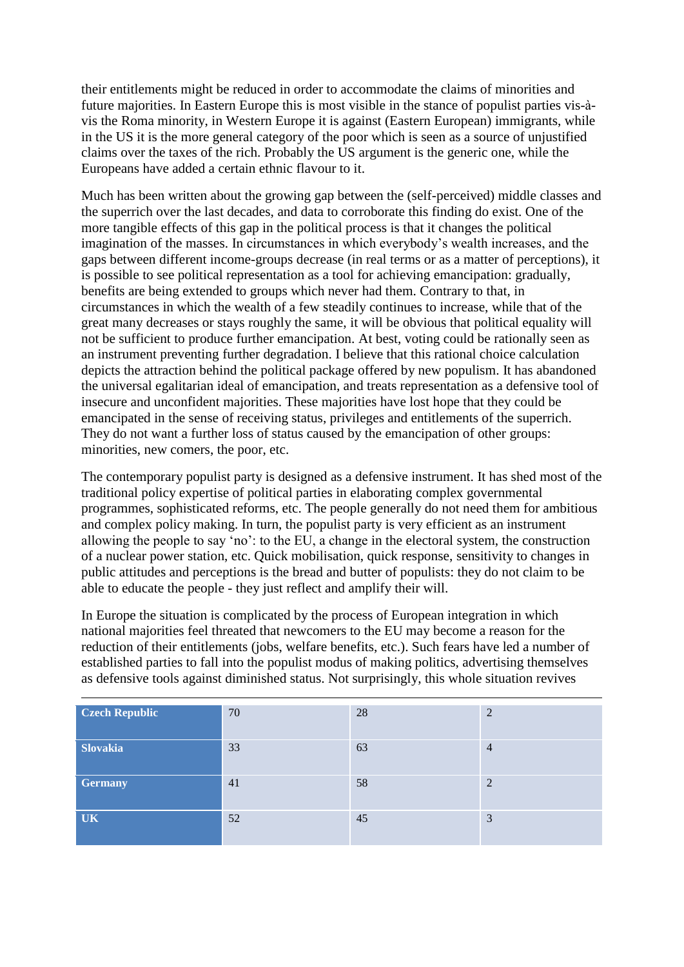their entitlements might be reduced in order to accommodate the claims of minorities and future majorities. In Eastern Europe this is most visible in the stance of populist parties vis-àvis the Roma minority, in Western Europe it is against (Eastern European) immigrants, while in the US it is the more general category of the poor which is seen as a source of unjustified claims over the taxes of the rich. Probably the US argument is the generic one, while the Europeans have added a certain ethnic flavour to it.

Much has been written about the growing gap between the (self-perceived) middle classes and the superrich over the last decades, and data to corroborate this finding do exist. One of the more tangible effects of this gap in the political process is that it changes the political imagination of the masses. In circumstances in which everybody's wealth increases, and the gaps between different income-groups decrease (in real terms or as a matter of perceptions), it is possible to see political representation as a tool for achieving emancipation: gradually, benefits are being extended to groups which never had them. Contrary to that, in circumstances in which the wealth of a few steadily continues to increase, while that of the great many decreases or stays roughly the same, it will be obvious that political equality will not be sufficient to produce further emancipation. At best, voting could be rationally seen as an instrument preventing further degradation. I believe that this rational choice calculation depicts the attraction behind the political package offered by new populism. It has abandoned the universal egalitarian ideal of emancipation, and treats representation as a defensive tool of insecure and unconfident majorities. These majorities have lost hope that they could be emancipated in the sense of receiving status, privileges and entitlements of the superrich. They do not want a further loss of status caused by the emancipation of other groups: minorities, new comers, the poor, etc.

The contemporary populist party is designed as a defensive instrument. It has shed most of the traditional policy expertise of political parties in elaborating complex governmental programmes, sophisticated reforms, etc. The people generally do not need them for ambitious and complex policy making. In turn, the populist party is very efficient as an instrument allowing the people to say 'no': to the EU, a change in the electoral system, the construction of a nuclear power station, etc. Quick mobilisation, quick response, sensitivity to changes in public attitudes and perceptions is the bread and butter of populists: they do not claim to be able to educate the people - they just reflect and amplify their will.

In Europe the situation is complicated by the process of European integration in which national majorities feel threated that newcomers to the EU may become a reason for the reduction of their entitlements (jobs, welfare benefits, etc.). Such fears have led a number of established parties to fall into the populist modus of making politics, advertising themselves as defensive tools against diminished status. Not surprisingly, this whole situation revives

| <b>Czech Republic</b> | 70 | 28 | $\overline{2}$ |
|-----------------------|----|----|----------------|
| <b>Slovakia</b>       | 33 | 63 | $\overline{4}$ |
| <b>Germany</b>        | 41 | 58 | $\overline{2}$ |
| <b>UK</b>             | 52 | 45 | 3              |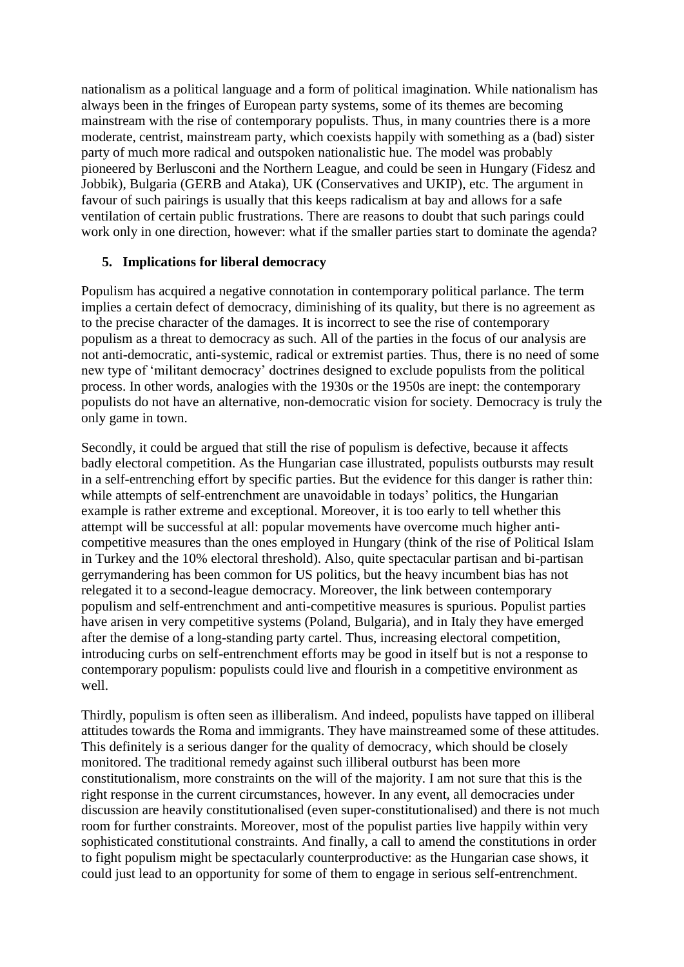nationalism as a political language and a form of political imagination. While nationalism has always been in the fringes of European party systems, some of its themes are becoming mainstream with the rise of contemporary populists. Thus, in many countries there is a more moderate, centrist, mainstream party, which coexists happily with something as a (bad) sister party of much more radical and outspoken nationalistic hue. The model was probably pioneered by Berlusconi and the Northern League, and could be seen in Hungary (Fidesz and Jobbik), Bulgaria (GERB and Ataka), UK (Conservatives and UKIP), etc. The argument in favour of such pairings is usually that this keeps radicalism at bay and allows for a safe ventilation of certain public frustrations. There are reasons to doubt that such parings could work only in one direction, however: what if the smaller parties start to dominate the agenda?

### **5. Implications for liberal democracy**

Populism has acquired a negative connotation in contemporary political parlance. The term implies a certain defect of democracy, diminishing of its quality, but there is no agreement as to the precise character of the damages. It is incorrect to see the rise of contemporary populism as a threat to democracy as such. All of the parties in the focus of our analysis are not anti-democratic, anti-systemic, radical or extremist parties. Thus, there is no need of some new type of 'militant democracy' doctrines designed to exclude populists from the political process. In other words, analogies with the 1930s or the 1950s are inept: the contemporary populists do not have an alternative, non-democratic vision for society. Democracy is truly the only game in town.

Secondly, it could be argued that still the rise of populism is defective, because it affects badly electoral competition. As the Hungarian case illustrated, populists outbursts may result in a self-entrenching effort by specific parties. But the evidence for this danger is rather thin: while attempts of self-entrenchment are unavoidable in todays' politics, the Hungarian example is rather extreme and exceptional. Moreover, it is too early to tell whether this attempt will be successful at all: popular movements have overcome much higher anticompetitive measures than the ones employed in Hungary (think of the rise of Political Islam in Turkey and the 10% electoral threshold). Also, quite spectacular partisan and bi-partisan gerrymandering has been common for US politics, but the heavy incumbent bias has not relegated it to a second-league democracy. Moreover, the link between contemporary populism and self-entrenchment and anti-competitive measures is spurious. Populist parties have arisen in very competitive systems (Poland, Bulgaria), and in Italy they have emerged after the demise of a long-standing party cartel. Thus, increasing electoral competition, introducing curbs on self-entrenchment efforts may be good in itself but is not a response to contemporary populism: populists could live and flourish in a competitive environment as well.

Thirdly, populism is often seen as illiberalism. And indeed, populists have tapped on illiberal attitudes towards the Roma and immigrants. They have mainstreamed some of these attitudes. This definitely is a serious danger for the quality of democracy, which should be closely monitored. The traditional remedy against such illiberal outburst has been more constitutionalism, more constraints on the will of the majority. I am not sure that this is the right response in the current circumstances, however. In any event, all democracies under discussion are heavily constitutionalised (even super-constitutionalised) and there is not much room for further constraints. Moreover, most of the populist parties live happily within very sophisticated constitutional constraints. And finally, a call to amend the constitutions in order to fight populism might be spectacularly counterproductive: as the Hungarian case shows, it could just lead to an opportunity for some of them to engage in serious self-entrenchment.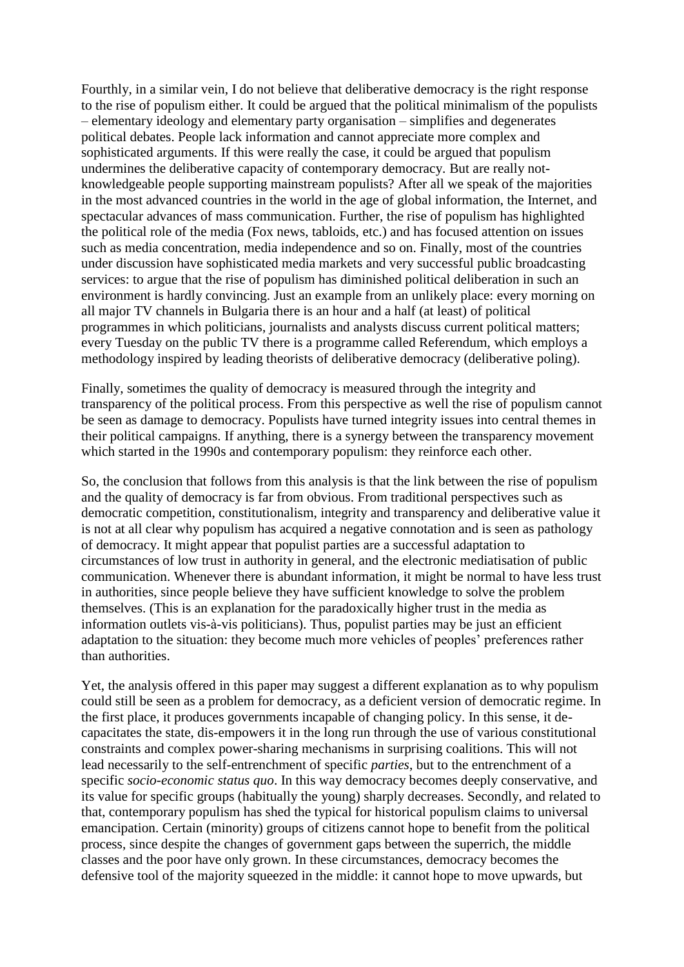Fourthly, in a similar vein, I do not believe that deliberative democracy is the right response to the rise of populism either. It could be argued that the political minimalism of the populists – elementary ideology and elementary party organisation – simplifies and degenerates political debates. People lack information and cannot appreciate more complex and sophisticated arguments. If this were really the case, it could be argued that populism undermines the deliberative capacity of contemporary democracy. But are really notknowledgeable people supporting mainstream populists? After all we speak of the majorities in the most advanced countries in the world in the age of global information, the Internet, and spectacular advances of mass communication. Further, the rise of populism has highlighted the political role of the media (Fox news, tabloids, etc.) and has focused attention on issues such as media concentration, media independence and so on. Finally, most of the countries under discussion have sophisticated media markets and very successful public broadcasting services: to argue that the rise of populism has diminished political deliberation in such an environment is hardly convincing. Just an example from an unlikely place: every morning on all major TV channels in Bulgaria there is an hour and a half (at least) of political programmes in which politicians, journalists and analysts discuss current political matters; every Tuesday on the public TV there is a programme called Referendum, which employs a methodology inspired by leading theorists of deliberative democracy (deliberative poling).

Finally, sometimes the quality of democracy is measured through the integrity and transparency of the political process. From this perspective as well the rise of populism cannot be seen as damage to democracy. Populists have turned integrity issues into central themes in their political campaigns. If anything, there is a synergy between the transparency movement which started in the 1990s and contemporary populism: they reinforce each other.

So, the conclusion that follows from this analysis is that the link between the rise of populism and the quality of democracy is far from obvious. From traditional perspectives such as democratic competition, constitutionalism, integrity and transparency and deliberative value it is not at all clear why populism has acquired a negative connotation and is seen as pathology of democracy. It might appear that populist parties are a successful adaptation to circumstances of low trust in authority in general, and the electronic mediatisation of public communication. Whenever there is abundant information, it might be normal to have less trust in authorities, since people believe they have sufficient knowledge to solve the problem themselves. (This is an explanation for the paradoxically higher trust in the media as information outlets vis-à-vis politicians). Thus, populist parties may be just an efficient adaptation to the situation: they become much more vehicles of peoples' preferences rather than authorities.

Yet, the analysis offered in this paper may suggest a different explanation as to why populism could still be seen as a problem for democracy, as a deficient version of democratic regime. In the first place, it produces governments incapable of changing policy. In this sense, it decapacitates the state, dis-empowers it in the long run through the use of various constitutional constraints and complex power-sharing mechanisms in surprising coalitions. This will not lead necessarily to the self-entrenchment of specific *parties*, but to the entrenchment of a specific *socio-economic status quo*. In this way democracy becomes deeply conservative, and its value for specific groups (habitually the young) sharply decreases. Secondly, and related to that, contemporary populism has shed the typical for historical populism claims to universal emancipation. Certain (minority) groups of citizens cannot hope to benefit from the political process, since despite the changes of government gaps between the superrich, the middle classes and the poor have only grown. In these circumstances, democracy becomes the defensive tool of the majority squeezed in the middle: it cannot hope to move upwards, but